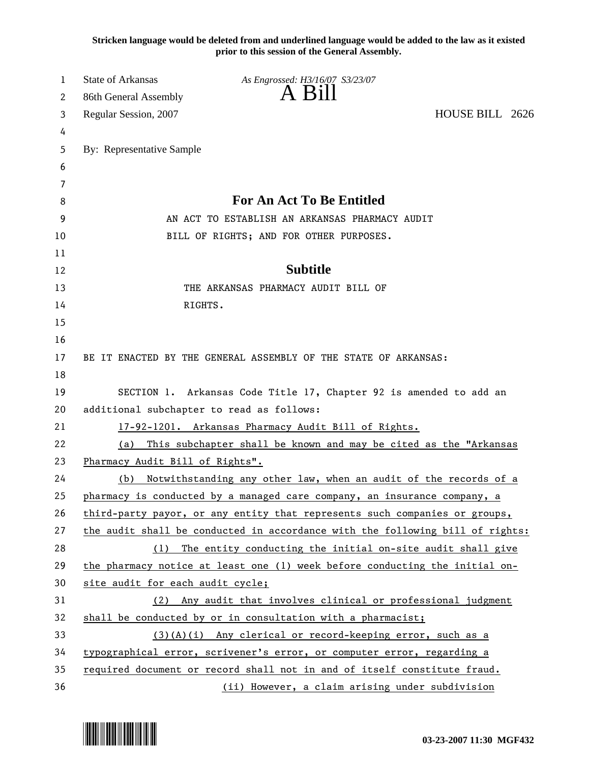**Stricken language would be deleted from and underlined language would be added to the law as it existed prior to this session of the General Assembly.**

| 1  | <b>State of Arkansas</b>                  | As Engrossed: H3/16/07 S3/23/07                                               |                 |
|----|-------------------------------------------|-------------------------------------------------------------------------------|-----------------|
| 2  | 86th General Assembly                     | $A$ B <sub>1</sub> $\parallel$                                                |                 |
| 3  | Regular Session, 2007                     |                                                                               | HOUSE BILL 2626 |
| 4  |                                           |                                                                               |                 |
| 5  | By: Representative Sample                 |                                                                               |                 |
| 6  |                                           |                                                                               |                 |
| 7  |                                           |                                                                               |                 |
| 8  |                                           | <b>For An Act To Be Entitled</b>                                              |                 |
| 9  |                                           | AN ACT TO ESTABLISH AN ARKANSAS PHARMACY AUDIT                                |                 |
| 10 |                                           | BILL OF RIGHTS; AND FOR OTHER PURPOSES.                                       |                 |
| 11 |                                           |                                                                               |                 |
| 12 |                                           | <b>Subtitle</b>                                                               |                 |
| 13 |                                           | THE ARKANSAS PHARMACY AUDIT BILL OF                                           |                 |
| 14 |                                           | RIGHTS.                                                                       |                 |
| 15 |                                           |                                                                               |                 |
| 16 |                                           |                                                                               |                 |
| 17 |                                           | BE IT ENACTED BY THE GENERAL ASSEMBLY OF THE STATE OF ARKANSAS:               |                 |
| 18 |                                           |                                                                               |                 |
| 19 |                                           | SECTION 1. Arkansas Code Title 17, Chapter 92 is amended to add an            |                 |
| 20 | additional subchapter to read as follows: |                                                                               |                 |
| 21 |                                           | 17-92-1201. Arkansas Pharmacy Audit Bill of Rights.                           |                 |
| 22 | (a)                                       | This subchapter shall be known and may be cited as the "Arkansas              |                 |
| 23 | Pharmacy Audit Bill of Rights".           |                                                                               |                 |
| 24 | (b)                                       | Notwithstanding any other law, when an audit of the records of a              |                 |
| 25 |                                           | pharmacy is conducted by a managed care company, an insurance company, a      |                 |
| 26 |                                           | third-party payor, or any entity that represents such companies or groups,    |                 |
| 27 |                                           | the audit shall be conducted in accordance with the following bill of rights: |                 |
| 28 |                                           | (1) The entity conducting the initial on-site audit shall give                |                 |
| 29 |                                           | the pharmacy notice at least one (1) week before conducting the initial on-   |                 |
| 30 | site audit for each audit cycle;          |                                                                               |                 |
| 31 | (2)                                       | Any audit that involves clinical or professional judgment                     |                 |
| 32 |                                           | shall be conducted by or in consultation with a pharmacist;                   |                 |
| 33 |                                           | $(3)(A)(i)$ Any clerical or record-keeping error, such as a                   |                 |
| 34 |                                           | typographical error, scrivener's error, or computer error, regarding a        |                 |
| 35 |                                           | required document or record shall not in and of itself constitute fraud.      |                 |
| 36 |                                           | (ii) However, a claim arising under subdivision                               |                 |

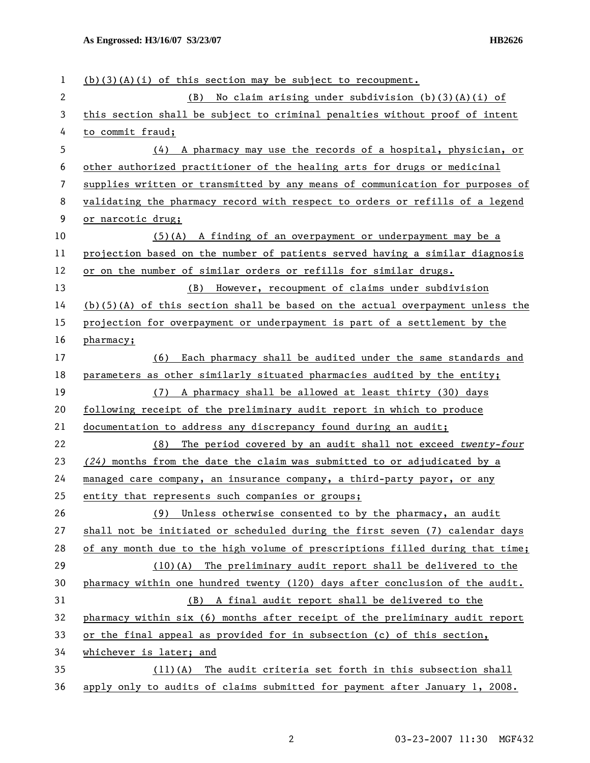| 1            | $(b)(3)(A)(i)$ of this section may be subject to recoupment.                    |  |  |
|--------------|---------------------------------------------------------------------------------|--|--|
| $\mathbf{2}$ | No claim arising under subdivision $(b)(3)(A)(i)$ of<br>(B)                     |  |  |
| 3            | this section shall be subject to criminal penalties without proof of intent     |  |  |
| 4            | to commit fraud;                                                                |  |  |
| 5            | (4) A pharmacy may use the records of a hospital, physician, or                 |  |  |
| 6            | other authorized practitioner of the healing arts for drugs or medicinal        |  |  |
| 7            | supplies written or transmitted by any means of communication for purposes of   |  |  |
| 8            | validating the pharmacy record with respect to orders or refills of a legend    |  |  |
| 9            | or narcotic drug;                                                               |  |  |
| 10           | $(5)(A)$ A finding of an overpayment or underpayment may be a                   |  |  |
| 11           | projection based on the number of patients served having a similar diagnosis    |  |  |
| 12           | or on the number of similar orders or refills for similar drugs.                |  |  |
| 13           | However, recoupment of claims under subdivision<br>(B)                          |  |  |
| 14           | $(b)(5)(A)$ of this section shall be based on the actual overpayment unless the |  |  |
| 15           | projection for overpayment or underpayment is part of a settlement by the       |  |  |
| 16           | pharmacy;                                                                       |  |  |
| 17           | Each pharmacy shall be audited under the same standards and<br>(6)              |  |  |
| 18           | parameters as other similarly situated pharmacies audited by the entity;        |  |  |
| 19           | (7) A pharmacy shall be allowed at least thirty (30) days                       |  |  |
| 20           | following receipt of the preliminary audit report in which to produce           |  |  |
| 21           | documentation to address any discrepancy found during an audit;                 |  |  |
| 22           | The period covered by an audit shall not exceed twenty-four<br>(8)              |  |  |
| 23           | $(24)$ months from the date the claim was submitted to or adjudicated by a      |  |  |
| 24           | managed care company, an insurance company, a third-party payor, or any         |  |  |
| 25           | entity that represents such companies or groups;                                |  |  |
| 26           | Unless otherwise consented to by the pharmacy, an audit<br>(9)                  |  |  |
| 27           | shall not be initiated or scheduled during the first seven (7) calendar days    |  |  |
| 28           | of any month due to the high volume of prescriptions filled during that time;   |  |  |
| 29           | (10)(A) The preliminary audit report shall be delivered to the                  |  |  |
| 30           | pharmacy within one hundred twenty (120) days after conclusion of the audit.    |  |  |
| 31           | A final audit report shall be delivered to the<br>(B)                           |  |  |
| 32           | pharmacy within six (6) months after receipt of the preliminary audit report    |  |  |
| 33           | or the final appeal as provided for in subsection (c) of this section,          |  |  |
| 34           | whichever is later; and                                                         |  |  |
| 35           | $(11)(A)$ The audit criteria set forth in this subsection shall                 |  |  |
| 36           | apply only to audits of claims submitted for payment after January 1, 2008.     |  |  |